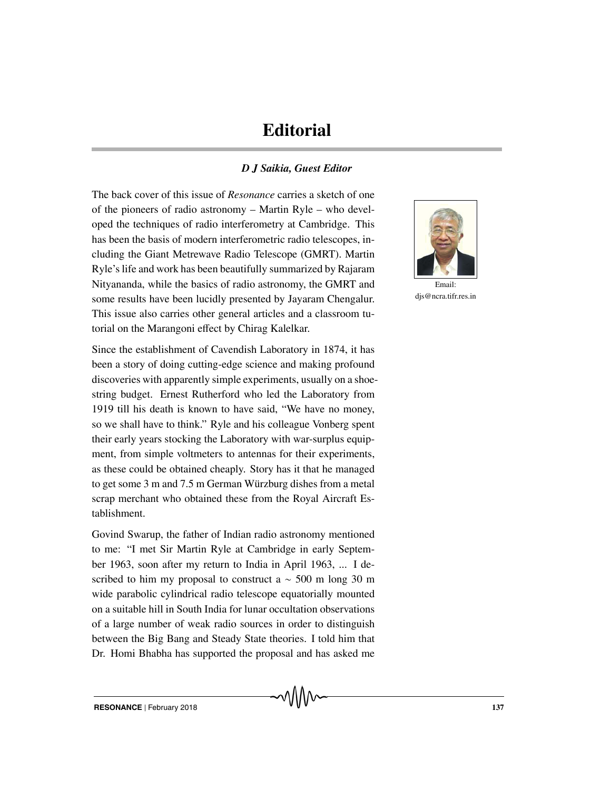## **Editorial**

## *D J Saikia, Guest Editor*

The back cover of this issue of *Resonance* carries a sketch of one of the pioneers of radio astronomy – Martin Ryle – who developed the techniques of radio interferometry at Cambridge. This has been the basis of modern interferometric radio telescopes, including the Giant Metrewave Radio Telescope (GMRT). Martin Ryle's life and work has been beautifully summarized by Rajaram Nityananda, while the basics of radio astronomy, the GMRT and some results have been lucidly presented by Jayaram Chengalur. This issue also carries other general articles and a classroom tutorial on the Marangoni effect by Chirag Kalelkar.

Since the establishment of Cavendish Laboratory in 1874, it has been a story of doing cutting-edge science and making profound discoveries with apparently simple experiments, usually on a shoestring budget. Ernest Rutherford who led the Laboratory from 1919 till his death is known to have said, "We have no money, so we shall have to think." Ryle and his colleague Vonberg spent their early years stocking the Laboratory with war-surplus equipment, from simple voltmeters to antennas for their experiments, as these could be obtained cheaply. Story has it that he managed to get some  $3 \text{ m}$  and  $7.5 \text{ m}$  German Würzburg dishes from a metal scrap merchant who obtained these from the Royal Aircraft Establishment.

Govind Swarup, the father of Indian radio astronomy mentioned to me: "I met Sir Martin Ryle at Cambridge in early September 1963, soon after my return to India in April 1963, ... I described to him my proposal to construct a  $\sim$  500 m long 30 m wide parabolic cylindrical radio telescope equatorially mounted on a suitable hill in South India for lunar occultation observations of a large number of weak radio sources in order to distinguish between the Big Bang and Steady State theories. I told him that Dr. Homi Bhabha has supported the proposal and has asked me



Email: dis@ncra.tifr.res.in